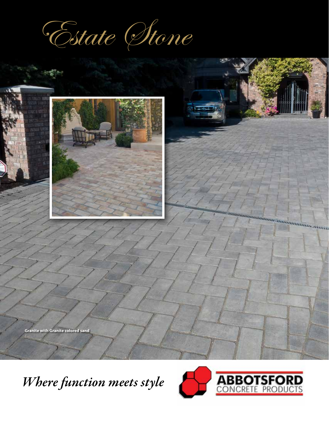Estate Stone



*Where function meets style*